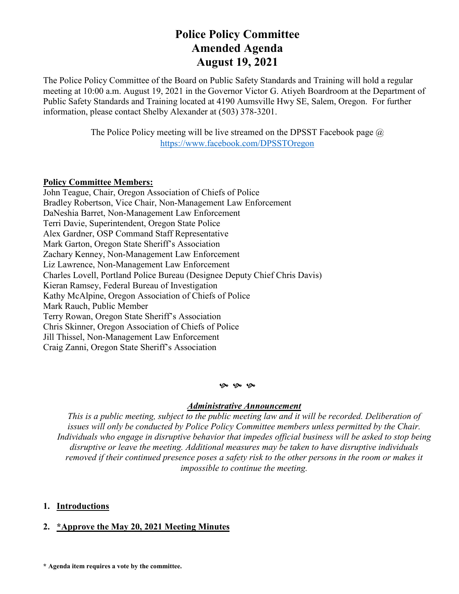# **Police Policy Committee Amended Agenda August 19, 2021**

The Police Policy Committee of the Board on Public Safety Standards and Training will hold a regular meeting at 10:00 a.m. August 19, 2021 in the Governor Victor G. Atiyeh Boardroom at the Department of Public Safety Standards and Training located at 4190 Aumsville Hwy SE, Salem, Oregon. For further information, please contact Shelby Alexander at (503) 378-3201.

> The Police Policy meeting will be live streamed on the DPSST Facebook page  $\omega$ <https://www.facebook.com/DPSSTOregon>

### **Policy Committee Members:**

John Teague, Chair, Oregon Association of Chiefs of Police Bradley Robertson, Vice Chair, Non-Management Law Enforcement DaNeshia Barret, Non-Management Law Enforcement Terri Davie, Superintendent, Oregon State Police Alex Gardner, OSP Command Staff Representative Mark Garton, Oregon State Sheriff's Association Zachary Kenney, Non-Management Law Enforcement Liz Lawrence, Non-Management Law Enforcement Charles Lovell, Portland Police Bureau (Designee Deputy Chief Chris Davis) Kieran Ramsey, Federal Bureau of Investigation Kathy McAlpine, Oregon Association of Chiefs of Police Mark Rauch, Public Member Terry Rowan, Oregon State Sheriff's Association Chris Skinner, Oregon Association of Chiefs of Police Jill Thissel, Non-Management Law Enforcement Craig Zanni, Oregon State Sheriff's Association

#### **9** 9 9

#### *Administrative Announcement*

*This is a public meeting, subject to the public meeting law and it will be recorded. Deliberation of issues will only be conducted by Police Policy Committee members unless permitted by the Chair. Individuals who engage in disruptive behavior that impedes official business will be asked to stop being disruptive or leave the meeting. Additional measures may be taken to have disruptive individuals removed if their continued presence poses a safety risk to the other persons in the room or makes it impossible to continue the meeting.*

### **1. Introductions**

### **2. \*Approve the May 20, 2021 Meeting Minutes**